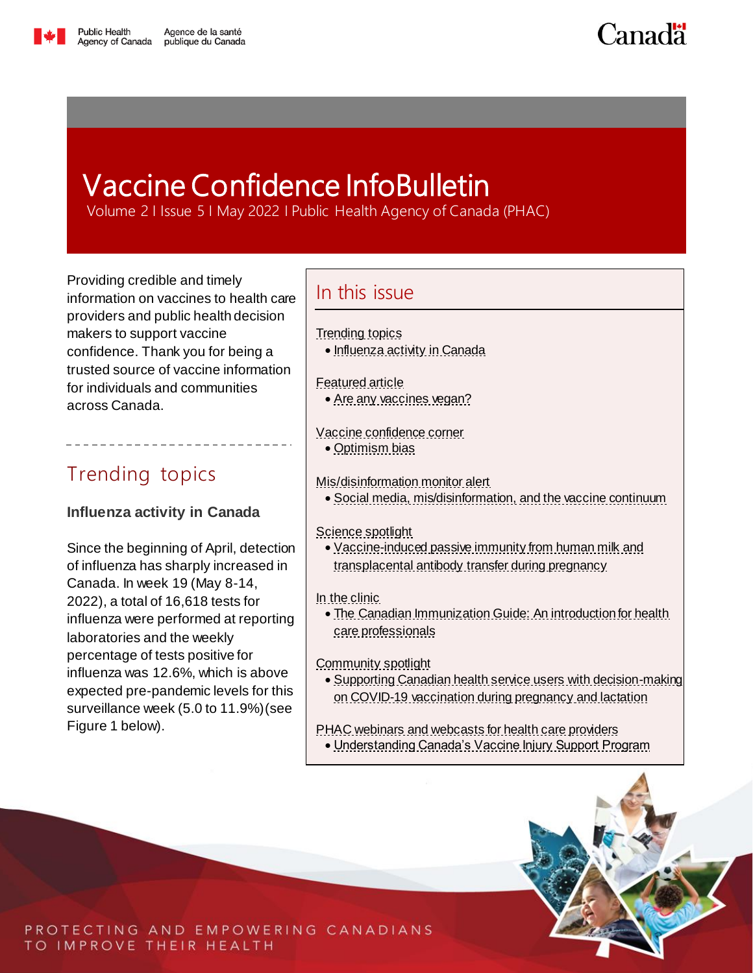

**Canadä** 

# <span id="page-0-2"></span>Vaccine Confidence InfoBulletin

Volume 2 I Issue 5 I May 2022 I Public Health Agency of Canada (PHAC)

Providing credible and timely information on vaccines to health care providers and public health decision makers to support vaccine confidence. Thank you for being a trusted source of vaccine information for individuals and communities across Canada.

# <span id="page-0-0"></span>Trending topics

### <span id="page-0-1"></span>**Influenza activity in Canada**

Since the beginning of April, detection of influenza has sharply increased in Canada. In week 19 (May 8-14, 2022), a total of 16,618 tests for influenza were performed at reporting laboratories and the weekly percentage of tests positive for influenza was 12.6%, which is above expected pre-pandemic levels for this surveillance week (5.0 to 11.9%)(see Figure 1 below).

### In this issue

### [Trending topics](#page-0-0)

• [Influenza activity in Canada](#page-0-1)

### [Featured article](#page-2-0)

[Are any vaccines vegan?](#page-2-1)

### [Vaccine confidence corner](#page-3-0)

• [Optimism bias](#page-3-1)

### [Mis/disinformation monitor alert](#page-5-0)

[Social media, mis/disinformation, and the vaccine continuum](#page-5-1)

### [Science spotlight](#page-7-0)

 [Vaccine-induced passive immunity from human milk and](#page-7-1)  transplacental antibody [transfer during pregnancy](#page-7-1)

### [In the clinic](#page-9-0)

• The Canadian Immunization Guide: An introduction for health [care professionals](#page-9-1)

### [Community spotlight](#page-11-0)

- [Supporting Canadian health service users with decision-making](#page-11-1)  [on COVID-19 vaccination during pregnancy and lactation](#page-11-1)
- [PHAC webinars and webcasts for health care providers](#page-12-0) [Understanding Canada's Vaccine Injury Support Program](#page-12-1)



PROTECTING AND EMPOWERING CANADIANS TO IMPROVE THEIR HEALTH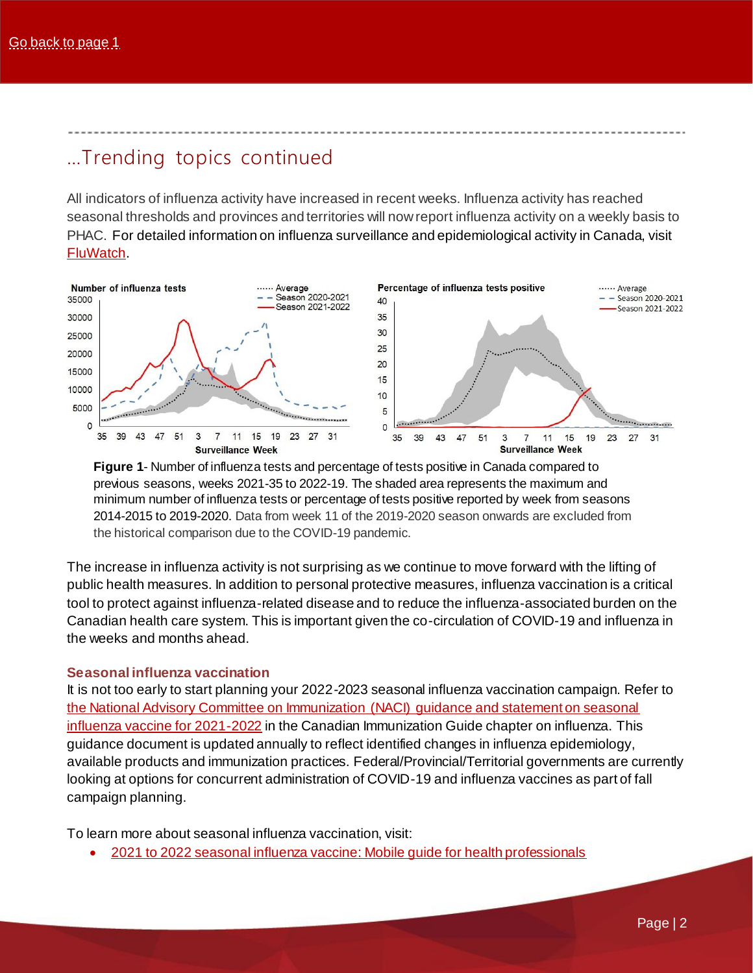### …Trending topics continued

All indicators of influenza activity have increased in recent weeks. Influenza activity has reached seasonal thresholds and provinces and territories will now report influenza activity on a weekly basis to PHAC. For detailed information on influenza surveillance and epidemiological activity in Canada, visit [FluWatch.](https://www.canada.ca/en/public-health/services/diseases/flu-influenza/influenza-surveillance.html)



**Figure 1**- Number of influenza tests and percentage of tests positive in Canada compared to previous seasons, weeks 2021-35 to 2022-19. The shaded area represents the maximum and minimum number of influenza tests or percentage of tests positive reported by week from seasons 2014-2015 to 2019-2020. Data from week 11 of the 2019-2020 season onwards are excluded from the historical comparison due to the COVID-19 pandemic.

The increase in influenza activity is not surprising as we continue to move forward with the lifting of public health measures. In addition to personal protective measures, influenza vaccination is a critical tool to protect against influenza-related disease and to reduce the influenza-associated burden on the Canadian health care system. This is important given the co-circulation of COVID-19 and influenza in the weeks and months ahead.

### **Seasonal influenza vaccination**

It is not too early to start planning your 2022-2023 seasonal influenza vaccination campaign. Refer to [the National Advisory Committee on Immunization \(NACI\) guidance and statement on seasonal](https://bit.ly/EN-PHAC-CIG-Flu-2021-22)  [influenza vaccine for 2021-2022](https://bit.ly/EN-PHAC-CIG-Flu-2021-22) in the Canadian Immunization Guide chapter on influenza. This guidance document is updated annually to reflect identified changes in influenza epidemiology, available products and immunization practices. Federal/Provincial/Territorial governments are currently looking at options for concurrent administration of COVID-19 and influenza vaccines as part of fall campaign planning.

To learn more about seasonal influenza vaccination, visit:

[2021 to 2022 seasonal influenza vaccine: Mobile guide for health professionals](https://bit.ly/EN-PHAC-Flu_Mobile_Guide)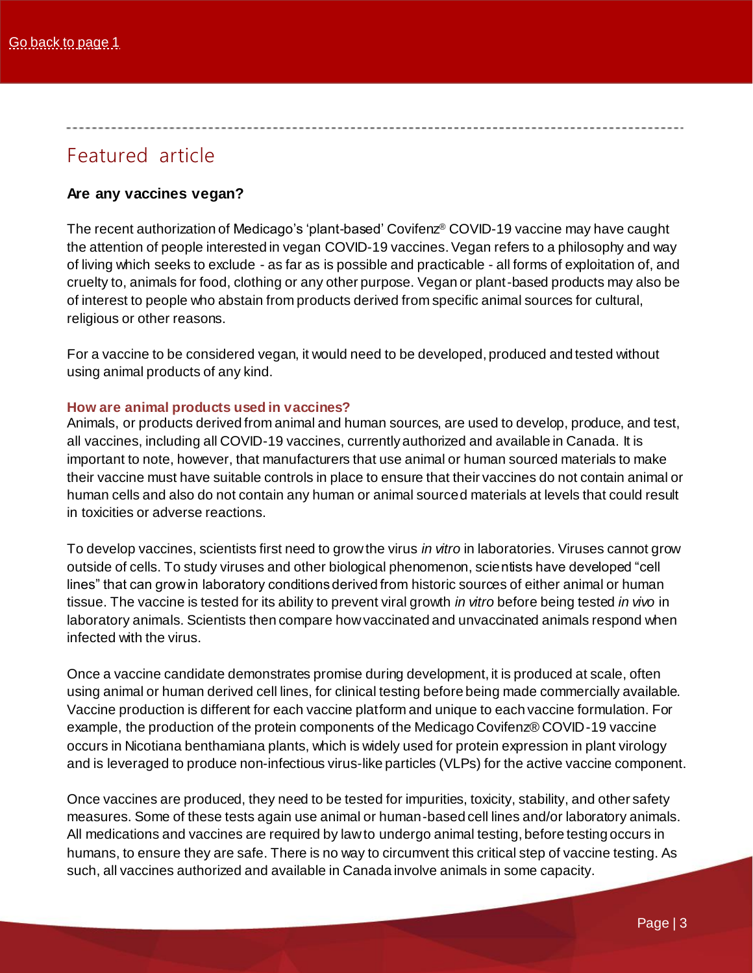## <span id="page-2-0"></span>Featured article

### <span id="page-2-1"></span>**Are any vaccines vegan?**

The recent authorization of Medicago's 'plant-based' Covifenz® COVID-19 vaccine may have caught the attention of people interested in vegan COVID-19 vaccines. Vegan refers to a philosophy and way of living which seeks to exclude - as far as is possible and practicable - all forms of exploitation of, and cruelty to, animals for food, clothing or any other purpose. Vegan or plant-based products may also be of interest to people who abstain from products derived from specific animal sources for cultural, religious or other reasons.

For a vaccine to be considered vegan, it would need to be developed, produced and tested without using animal products of any kind.

### **How are animal products used in vaccines?**

Animals, or products derived from animal and human sources, are used to develop, produce, and test, all vaccines, including all COVID-19 vaccines, currently authorized and available in Canada. It is important to note, however, that manufacturers that use animal or human sourced materials to make their vaccine must have suitable controls in place to ensure that their vaccines do not contain animal or human cells and also do not contain any human or animal sourced materials at levels that could result in toxicities or adverse reactions.

To develop vaccines, scientists first need to grow the virus *in vitro* in laboratories. Viruses cannot grow outside of cells. To study viruses and other biological phenomenon, scientists have developed "cell lines" that can grow in laboratory conditions derived from historic sources of either animal or human tissue. The vaccine is tested for its ability to prevent viral growth *in vitro* before being tested *in vivo* in laboratory animals. Scientists then compare how vaccinated and unvaccinated animals respond when infected with the virus.

Once a vaccine candidate demonstrates promise during development, it is produced at scale, often using animal or human derived cell lines, for clinical testing before being made commercially available. Vaccine production is different for each vaccine platform and unique to each vaccine formulation. For example, the production of the protein components of the Medicago Covifenz® COVID-19 vaccine occurs in Nicotiana benthamiana plants, which is widely used for protein expression in plant virology and is leveraged to produce non-infectious virus-like particles (VLPs) for the active vaccine component.

Once vaccines are produced, they need to be tested for impurities, toxicity, stability, and other safety measures. Some of these tests again use animal or human-based cell lines and/or laboratory animals. All medications and vaccines are required by law to undergo animal testing, before testing occurs in humans, to ensure they are safe. There is no way to circumvent this critical step of vaccine testing. As such, all vaccines authorized and available in Canada involve animals in some capacity.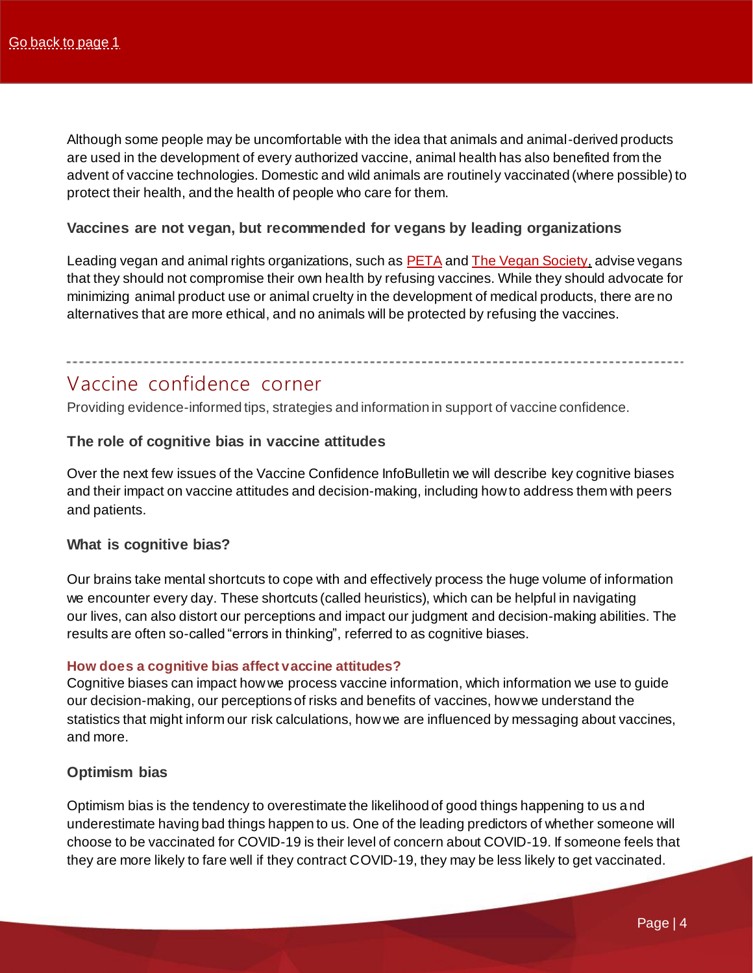Although some people may be uncomfortable with the idea that animals and animal-derived products are used in the development of every authorized vaccine, animal health has also benefited from the advent of vaccine technologies. Domestic and wild animals are routinely vaccinated (where possible) to protect their health, and the health of people who care for them.

### **Vaccines are not vegan, but recommended for vegans by leading organizations**

Leading vegan and animal rights organizations, such as [PETA](https://www.peta.org.uk/blog/vegans-covid-19-vaccine/) and [The Vegan Society](https://www.vegansociety.com/news/news/vegan-society-response-covid-19-vaccine), advise vegans that they should not compromise their own health by refusing vaccines. While they should advocate for minimizing animal product use or animal cruelty in the development of medical products, there are no alternatives that are more ethical, and no animals will be protected by refusing the vaccines.

### <span id="page-3-0"></span>Vaccine confidence corner

Providing evidence-informed tips, strategies and information in support of vaccine confidence.

### **The role of cognitive bias in vaccine attitudes**

Over the next few issues of the Vaccine Confidence InfoBulletin we will describe key cognitive biases and their impact on vaccine attitudes and decision-making, including how to address them with peers and patients.

### **What is cognitive bias?**

Our brains take mental shortcuts to cope with and effectively process the huge volume of information we encounter every day. These shortcuts (called heuristics), which can be helpful in navigating our lives, can also distort our perceptions and impact our judgment and decision-making abilities. The results are often so-called "errors in thinking", referred to as cognitive biases.

#### **How does a cognitive bias affect vaccine attitudes?**

Cognitive biases can impact how we process vaccine information, which information we use to guide our decision-making, our perceptions of risks and benefits of vaccines, how we understand the statistics that might inform our risk calculations, how we are influenced by messaging about vaccines, and more.

### <span id="page-3-1"></span>**Optimism bias**

Optimism bias is the tendency to overestimate the likelihood of good things happening to us and underestimate having bad things happen to us. One of the leading predictors of whether someone will choose to be vaccinated for COVID-19 is their level of concern about COVID-19. If someone feels that they are more likely to fare well if they contract COVID-19, they may be less likely to get vaccinated.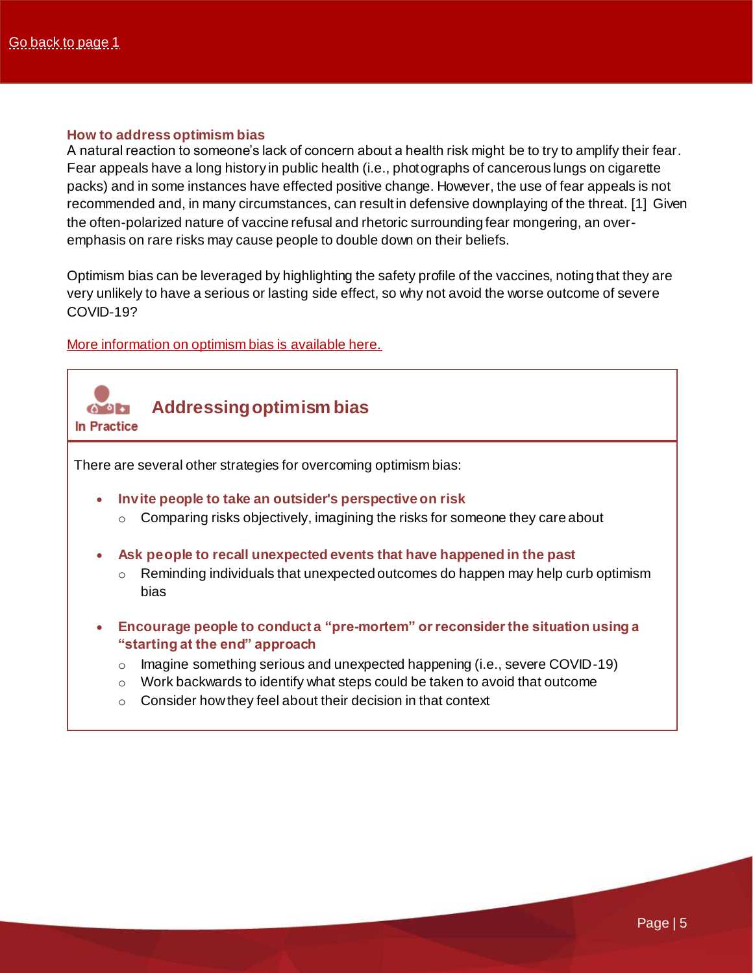#### **How to address optimism bias**

A natural reaction to someone's lack of concern about a health risk might be to try to amplify their fear. Fear appeals have a long history in public health (i.e., photographs of cancerous lungs on cigarette packs) and in some instances have effected positive change. However, the use of fear appeals is not recommended and, in many circumstances, can result in defensive downplaying of the threat. [1] Given the often-polarized nature of vaccine refusal and rhetoric surrounding fear mongering, an overemphasis on rare risks may cause people to double down on their beliefs.

Optimism bias can be leveraged by highlighting the safety profile of the vaccines, noting that they are very unlikely to have a serious or lasting side effect, so why not avoid the worse outcome of severe COVID-19?

### [More information on optimism bias is available here.](https://bit.ly/EN-ENONLY-DescisionLab-OptimismBias)

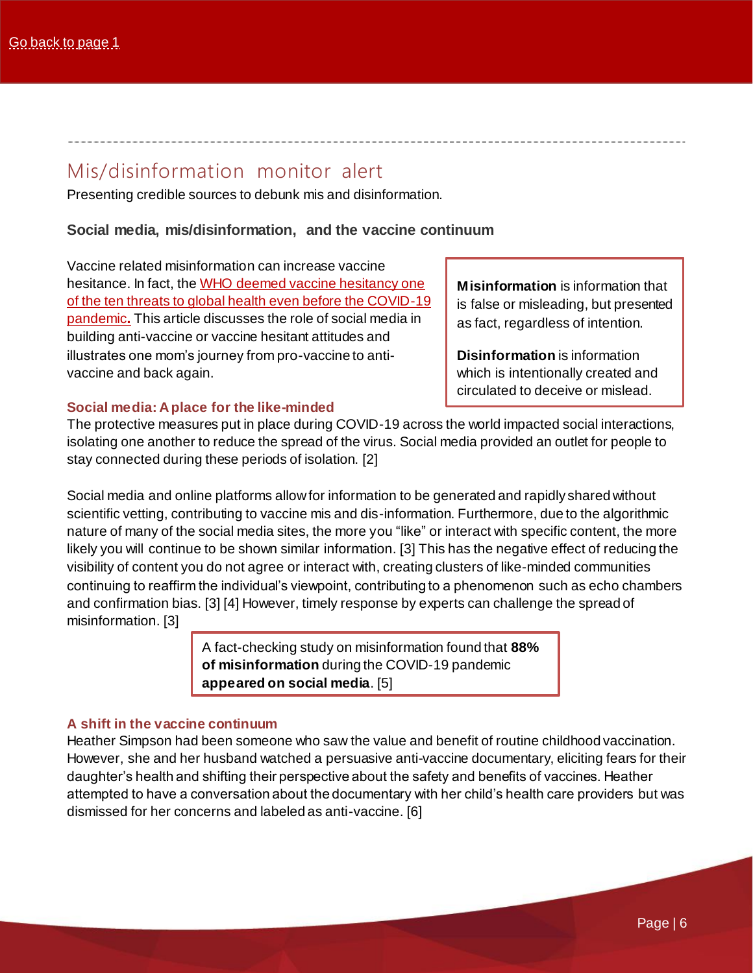### <span id="page-5-0"></span>Mis/disinformation monitor alert

Presenting credible sources to debunk mis and disinformation.

### <span id="page-5-1"></span>**Social media, mis/disinformation, and the vaccine continuum**

Vaccine related misinformation can increase vaccine hesitance. In fact, the WHO deemed vaccine hesitancy one [of the ten threats to global health even before the COVID-19](https://www.who.int/news-room/spotlight/ten-threats-to-global-health-in-2019)  [pandemic](https://www.who.int/news-room/spotlight/ten-threats-to-global-health-in-2019)**.** This article discusses the role of social media in building anti-vaccine or vaccine hesitant attitudes and illustrates one mom's journey from pro-vaccine to antivaccine and back again.

**Misinformation** is information that is false or misleading, but presented as fact, regardless of intention.

**Disinformation** is information which is intentionally created and circulated to deceive or mislead.

### **Social media: A place for the like-minded**

The protective measures put in place during COVID-19 across the world impacted social interactions, isolating one another to reduce the spread of the virus. Social media provided an outlet for people to stay connected during these periods of isolation. [2]

Social media and online platforms allow for information to be generated and rapidly shared without scientific vetting, contributing to vaccine mis and dis-information. Furthermore, due to the algorithmic nature of many of the social media sites, the more you "like" or interact with specific content, the more likely you will continue to be shown similar information. [3] This has the negative effect of reducing the visibility of content you do not agree or interact with, creating clusters of like-minded communities continuing to reaffirm the individual's viewpoint, contributing to a phenomenon such as echo chambers and confirmation bias. [3] [4] However, timely response by experts can challenge the spread of misinformation. [3]

> A fact-checking study on misinformation found that **88% of misinformation** during the COVID-19 pandemic **appeared on social media**. [5]

### **A shift in the vaccine continuum**

Heather Simpson had been someone who saw the value and benefit of routine childhood vaccination. However, she and her husband watched a persuasive anti-vaccine documentary, eliciting fears for their daughter's health and shifting their perspective about the safety and benefits of vaccines. Heather attempted to have a conversation about the documentary with her child's health care providers but was dismissed for her concerns and labeled as anti-vaccine. [6]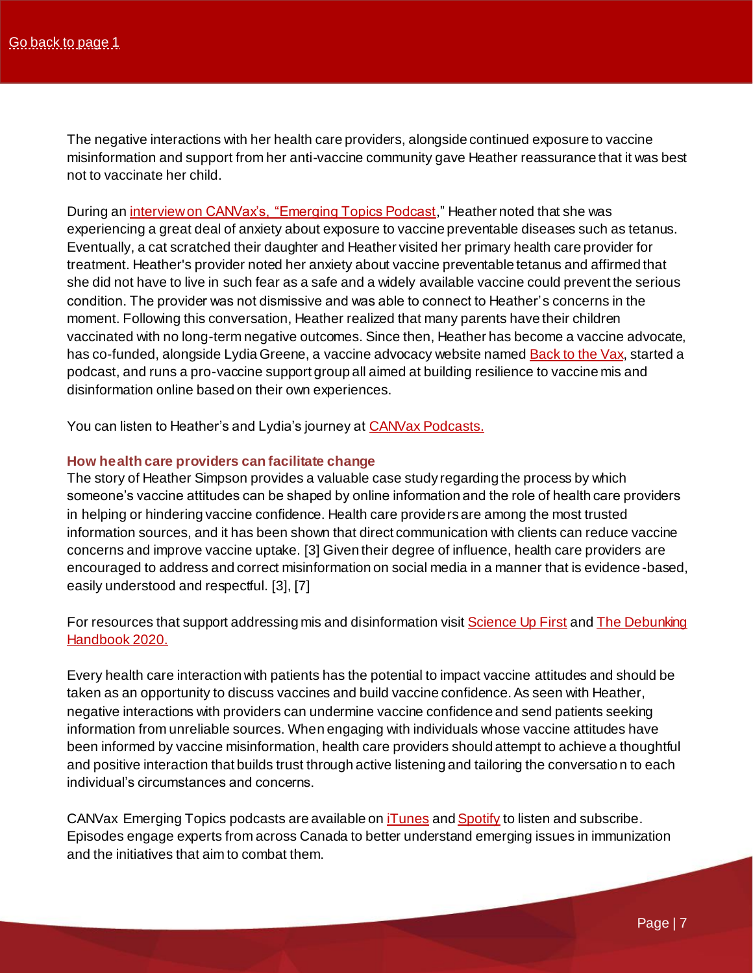The negative interactions with her health care providers, alongside continued exposure to vaccine misinformation and support from her anti-vaccine community gave Heather reassurance that it was best not to vaccinate her child.

During an *interview on CANVax's, "Emerging Topics Podcast*," Heather noted that she was experiencing a great deal of anxiety about exposure to vaccine preventable diseases such as tetanus. Eventually, a cat scratched their daughter and Heather visited her primary health care provider for treatment. Heather's provider noted her anxiety about vaccine preventable tetanus and affirmed that she did not have to live in such fear as a safe and a widely available vaccine could prevent the serious condition. The provider was not dismissive and was able to connect to Heather's concerns in the moment. Following this conversation, Heather realized that many parents have their children vaccinated with no long-term negative outcomes. Since then, Heather has become a vaccine advocate, has co-funded, alongside Lydia Greene, a vaccine advocacy website named **Back to the Vax**, started a podcast, and runs a pro-vaccine support group all aimed at building resilience to vaccine mis and disinformation online based on their own experiences.

You can listen to Heather's and Lydia's journey a[t CANVax Podcasts.](https://bit.ly/EN-CANVax-EmergingPodcasts)

#### **How health care providers can facilitate change**

The story of Heather Simpson provides a valuable case study regarding the process by which someone's vaccine attitudes can be shaped by online information and the role of health care providers in helping or hindering vaccine confidence. Health care providers are among the most trusted information sources, and it has been shown that direct communication with clients can reduce vaccine concerns and improve vaccine uptake. [3] Given their degree of influence, health care providers are encouraged to address and correct misinformation on social media in a manner that is evidence -based, easily understood and respectful. [3], [7]

For resources that support addressing mis and disinformation visi[t Science Up First](https://bit.ly/EN-SceinceUpFirst) and The Debunking [Handbook 2020.](https://bit.ly/EN-DebunkingHandbook)

Every health care interaction with patients has the potential to impact vaccine attitudes and should be taken as an opportunity to discuss vaccines and build vaccine confidence. As seen with Heather, negative interactions with providers can undermine vaccine confidence and send patients seeking information from unreliable sources. When engaging with individuals whose vaccine attitudes have been informed by vaccine misinformation, health care providers should attempt to achieve a thoughtful and positive interaction that builds trust through active listening and tailoring the conversation to each individual's circumstances and concerns.

CANVax Emerging Topics podcasts are available on *iTunes* an[d Spotify](https://open.spotify.com/show/6rYB6nyTPm6xKly81VLkBN) to listen and subscribe. Episodes engage experts from across Canada to better understand emerging issues in immunization and the initiatives that aim to combat them.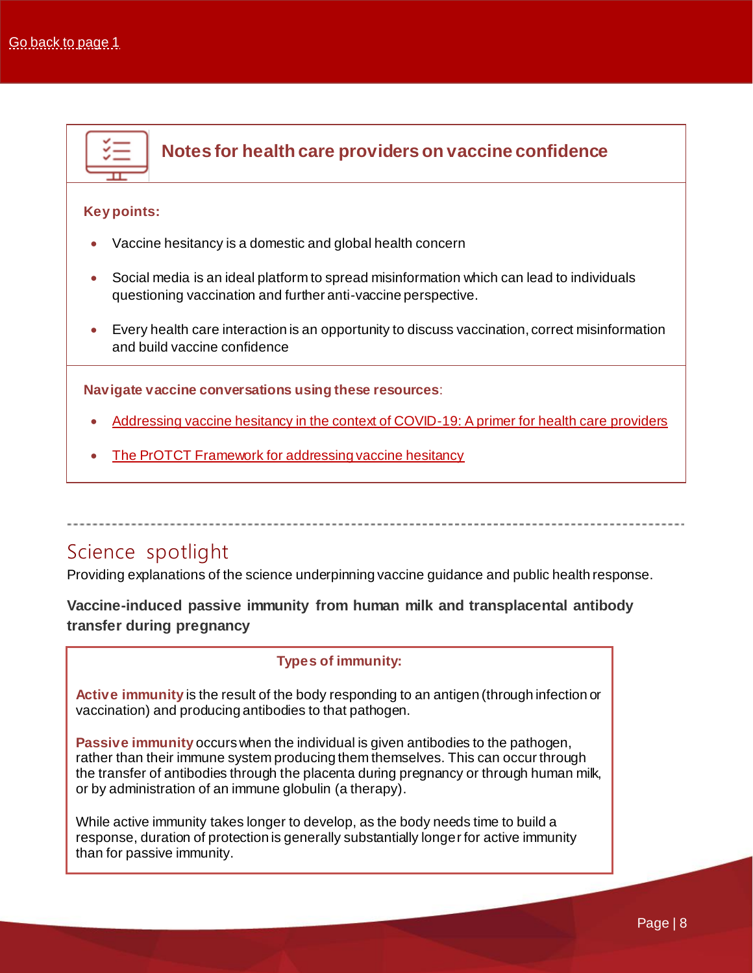

### <span id="page-7-0"></span>Science spotlight

Providing explanations of the science underpinning vaccine guidance and public health response.

<span id="page-7-1"></span>**Vaccine-induced passive immunity from human milk and transplacental antibody transfer during pregnancy**

### **Types of immunity:**

**Active immunity** is the result of the body responding to an antigen (through infection or vaccination) and producing antibodies to that pathogen.

**Passive immunity** occurs when the individual is given antibodies to the pathogen, rather than their immune system producing them themselves. This can occur through the transfer of antibodies through the placenta during pregnancy or through human milk, or by administration of an immune globulin (a therapy).

While active immunity takes longer to develop, as the body needs time to build a response, duration of protection is generally substantially longer for active immunity than for passive immunity.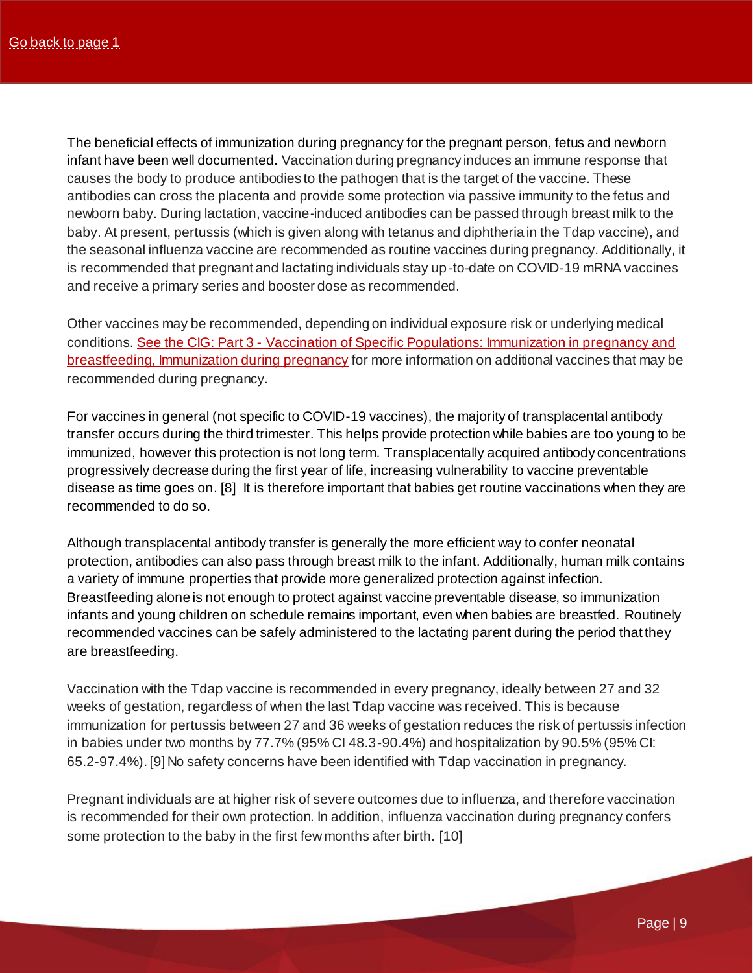The beneficial effects of immunization during pregnancy for the pregnant person, fetus and newborn infant have been well documented. Vaccination during pregnancy induces an immune response that causes the body to produce antibodies to the pathogen that is the target of the vaccine. These antibodies can cross the placenta and provide some protection via passive immunity to the fetus and newborn baby. During lactation, vaccine-induced antibodies can be passed through breast milk to the baby. At present, pertussis (which is given along with tetanus and diphtheria in the Tdap vaccine), and the seasonal influenza vaccine are recommended as routine vaccines during pregnancy. Additionally, it is recommended that pregnant and lactating individuals stay up-to-date on COVID-19 mRNA vaccines and receive a primary series and booster dose as recommended.

Other vaccines may be recommended, depending on individual exposure risk or underlying medical conditions. See the CIG: Part 3 - [Vaccination of Specific Populations: Immunization in pregnancy and](https://bit.ly/EN-PHAC-CIG-CH3VaccinationSpPopsPregnancy)  [breastfeeding, Immunization during](https://bit.ly/EN-PHAC-CIG-CH3VaccinationSpPopsPregnancy) pregnancy for more information on additional vaccines that may be recommended during pregnancy.

For vaccines in general (not specific to COVID-19 vaccines), the majority of transplacental antibody transfer occurs during the third trimester. This helps provide protection while babies are too young to be immunized, however this protection is not long term. Transplacentally acquired antibody concentrations progressively decrease during the first year of life, increasing vulnerability to vaccine preventable disease as time goes on. [8] It is therefore important that babies get routine vaccinations when they are recommended to do so.

Although transplacental antibody transfer is generally the more efficient way to confer neonatal protection, antibodies can also pass through breast milk to the infant. Additionally, human milk contains a variety of immune properties that provide more generalized protection against infection. Breastfeeding alone is not enough to protect against vaccine preventable disease, so immunization infants and young children on schedule remains important, even when babies are breastfed. Routinely recommended vaccines can be safely administered to the lactating parent during the period that they are breastfeeding.

Vaccination with the Tdap vaccine is recommended in every pregnancy, ideally between 27 and 32 weeks of gestation, regardless of when the last Tdap vaccine was received. This is because immunization for pertussis between 27 and 36 weeks of gestation reduces the risk of pertussis infection in babies under two months by 77.7% (95% CI 48.3-90.4%) and hospitalization by 90.5% (95% CI: 65.2-97.4%). [9] No safety concerns have been identified with Tdap vaccination in pregnancy.

Pregnant individuals are at higher risk of severe outcomes due to influenza, and therefore vaccination is recommended for their own protection. In addition, influenza vaccination during pregnancy confers some protection to the baby in the first few months after birth. [10]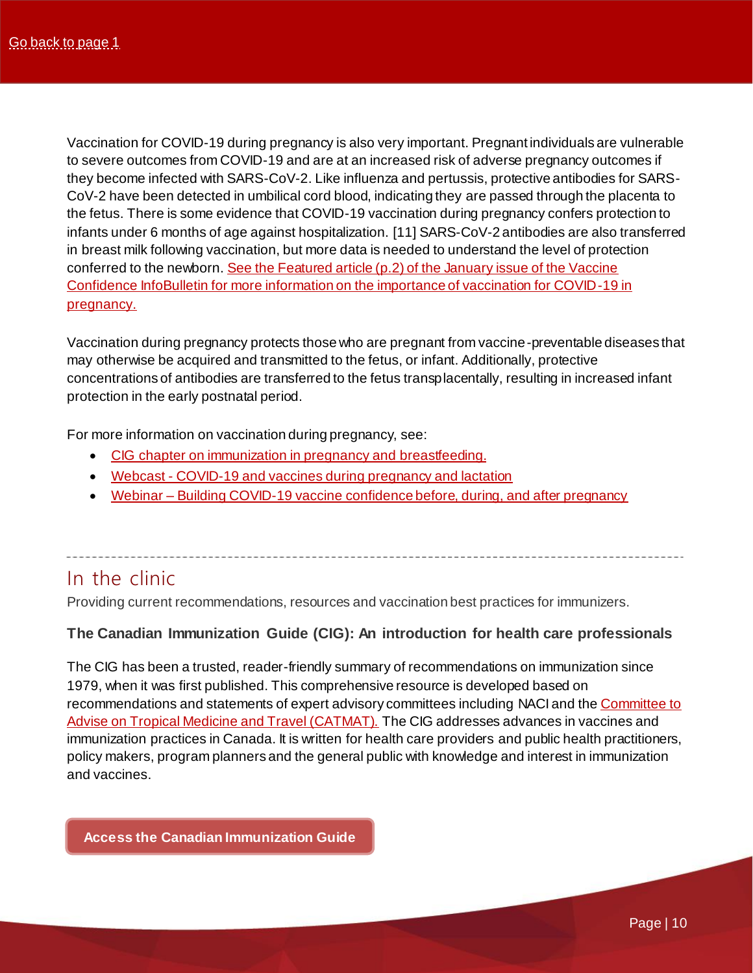<span id="page-9-0"></span>Vaccination for COVID-19 during pregnancy is also very important. Pregnant individuals are vulnerable to severe outcomes from COVID-19 and are at an increased risk of adverse pregnancy outcomes if they become infected with SARS-CoV-2. Like influenza and pertussis, protective antibodies for SARS-CoV-2 have been detected in umbilical cord blood, indicating they are passed through the placenta to the fetus. There is some evidence that COVID-19 vaccination during pregnancy confers protection to infants under 6 months of age against hospitalization. [11] SARS-CoV-2 antibodies are also transferred in breast milk following vaccination, but more data is needed to understand the level of protection conferred to the newborn. See the Featured article (p.2) [of the January issue of the Vaccine](https://bit.ly/EN-CANvax-VCIB-Jan2022)  [Confidence InfoBulletin for more information on the importance of vaccination for COVID-19 in](https://bit.ly/EN-CANvax-VCIB-Jan2022)  [pregnancy.](https://bit.ly/EN-CANvax-VCIB-Jan2022)

Vaccination during pregnancy protects those who are pregnant from vaccine-preventable diseases that may otherwise be acquired and transmitted to the fetus, or infant. Additionally, protective concentrations of antibodies are transferred to the fetus transplacentally, resulting in increased infant protection in the early postnatal period.

For more information on vaccination during pregnancy, see:

- [CIG chapter on immunization in pregnancy and breastfeeding.](https://bit.ly/EN-PHAC_CIG-Ch3-Pregnancy-Breastfeeding)
- Webcast [COVID-19 and vaccines during pregnancy and lactation](https://bit.ly/EN-CanVax-Webcast-Pregnancy)
- Webinar [Building COVID-19 vaccine confidence before, during, and after pregnancy](https://bit.ly/EN-CanVAX-Webinar-C19vaccines-Pregnancy)

### In the clinic

Providing current recommendations, resources and vaccination best practices for immunizers.

### <span id="page-9-1"></span>**The Canadian Immunization Guide (CIG): An introduction for health care professionals**

The CIG has been a trusted, reader-friendly summary of recommendations on immunization since 1979, when it was first published. This comprehensive resource is developed based on recommendations and statements of expert advisory committees including NACI and the [Committee to](https://www.canada.ca/en/public-health/services/catmat.html)  [Advise on Tropical Medicine and Travel \(CATMAT\).](https://www.canada.ca/en/public-health/services/catmat.html) The CIG addresses advances in vaccines and immunization practices in Canada. It is written for health care providers and public health practitioners, policy makers, program planners and the general public with knowledge and interest in immunization and vaccines.

**[Access the Canadian Immunization Guide](https://bit.ly/EN-PHAC-CIG-Main)**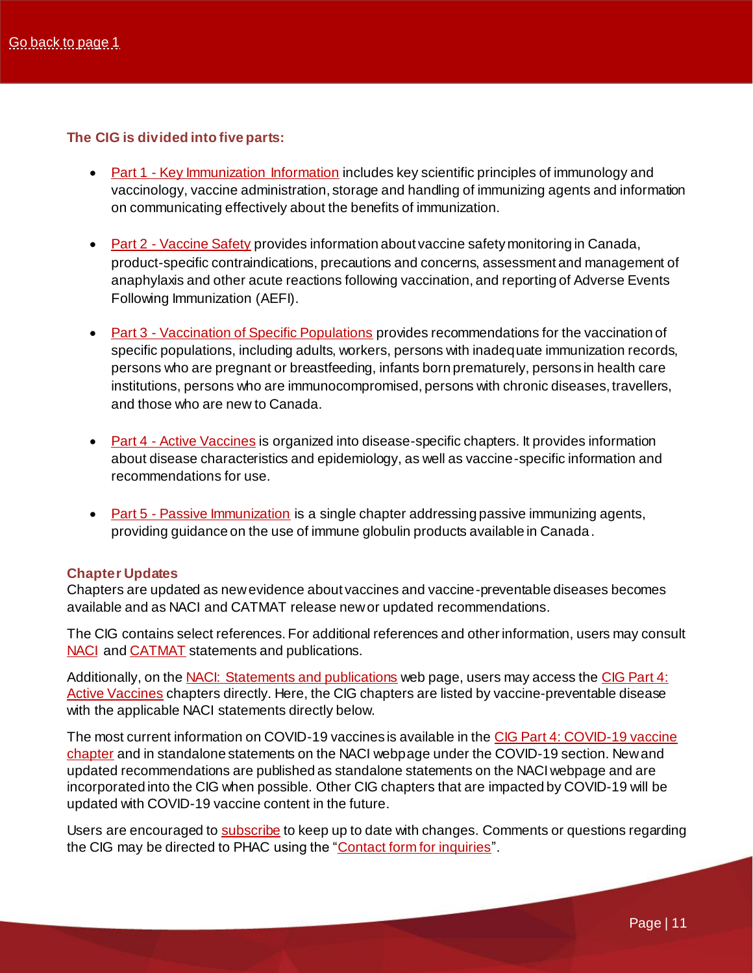### **The CIG is divided into five parts:**

- Part 1 [Key Immunization Information](https://bit.ly/EN-PHAC-CIG-Chapter1-KeyImmunizationInfo) includes key scientific principles of immunology and vaccinology, vaccine administration, storage and handling of immunizing agents and information on communicating effectively about the benefits of immunization.
- Part 2 [Vaccine Safety](https://bit.ly/EN-CIG-Chapter2-VaccineSafety) provides information about vaccine safety monitoring in Canada, product-specific contraindications, precautions and concerns, assessment and management of anaphylaxis and other acute reactions following vaccination, and reporting of Adverse Events Following Immunization (AEFI).
- Part 3 [Vaccination of Specific Populations](https://bit.ly/EN-PHAC-CIG-Chapter3-SpecialPopulations) provides recommendations for the vaccination of specific populations, including adults, workers, persons with inadequate immunization records, persons who are pregnant or breastfeeding, infants born prematurely, persons in health care institutions, persons who are immunocompromised, persons with chronic diseases, travellers, and those who are new to Canada.
- Part 4 [Active Vaccines](https://bit.ly/EN-PHAC-CIG-Chapter4-ActiveVaccines) is organized into disease-specific chapters. It provides information about disease characteristics and epidemiology, as well as vaccine-specific information and recommendations for use.
- Part 5 [Passive Immunization](https://bit.ly/EN-PHAC-CIG-Chapter5-PassiveImmunization) is a single chapter addressing passive immunizing agents, providing guidance on the use of immune globulin products available in Canada.

### **Chapter Updates**

Chapters are updated as new evidence about vaccines and vaccine-preventable diseases becomes available and as NACI and CATMAT release new or updated recommendations.

The CIG contains select references. For additional references and other information, users may consult [NACI](https://www.canada.ca/en/public-health/services/immunization/national-advisory-committee-on-immunization-naci.html) an[d CATMAT](https://www.canada.ca/en/public-health/services/catmat.html) statements and publications.

Additionally, on th[e NACI: Statements and publications](https://www.canada.ca/en/public-health/services/immunization/national-advisory-committee-on-immunization-naci.html) web page, users may access th[e CIG Part 4:](https://www.canada.ca/en/public-health/services/publications/healthy-living/canadian-immunization-guide-part-4-active-vaccines.html)  [Active Vaccines](https://www.canada.ca/en/public-health/services/publications/healthy-living/canadian-immunization-guide-part-4-active-vaccines.html) chapters directly. Here, the CIG chapters are listed by vaccine-preventable disease with the applicable NACI statements directly below.

The most current information on COVID-19 vaccines is available in th[e CIG Part 4: COVID-19 vaccine](https://www.canada.ca/en/public-health/services/publications/healthy-living/canadian-immunization-guide-part-4-active-vaccines/page-26-covid-19-vaccine.html)  [chapter](https://www.canada.ca/en/public-health/services/publications/healthy-living/canadian-immunization-guide-part-4-active-vaccines/page-26-covid-19-vaccine.html) and in standalone statements on the NACI webpage under the COVID-19 section. New and updated recommendations are published as standalone statements on the NACI webpage and are incorporated into the CIG when possible. Other CIG chapters that are impacted by COVID-19 will be updated with COVID-19 vaccine content in the future.

Users are encouraged t[o subscribe](https://health.canada.ca/en/health-canada/services/healthy-living/immunization-and-vaccines/canadian-immunization-guide/subscribe.html) to keep up to date with changes. Comments or questions regarding the CIG may be directed to PHAC using the ["Contact form for inquiries](https://health.canada.ca/en/public-health/corporate/contact-us.html)".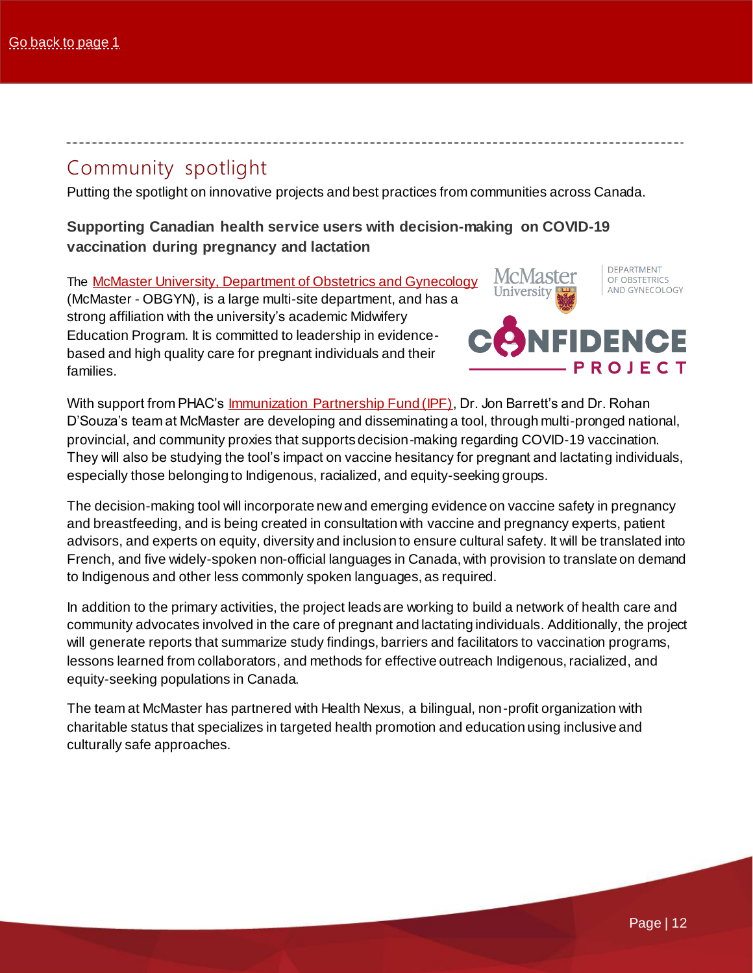### <span id="page-11-0"></span>Community spotlight

Putting the spotlight on innovative projects and best practices from communities across Canada.

<span id="page-11-1"></span>**Supporting Canadian health service users with decision-making on COVID-19 vaccination during pregnancy and lactation**

The McMaster University, [Department of Obstetrics and Gynecology](https://obsgyn.mcmaster.ca/about-us) (McMaster - OBGYN), is a large multi-site department, and has a strong affiliation with the university's academic Midwifery Education Program. It is committed to leadership in evidencebased and high quality care for pregnant individuals and their families.

McMaster University

**DEPARTMENT** OF OBSTETRICS AND GYNECOLOGY



With support from PHAC's [Immunization Partnership Fund \(IPF\),](https://bit.ly/EN-PHAC-IPF-Main) Dr. Jon Barrett's and Dr. Rohan D'Souza's team at McMaster are developing and disseminating a tool, through multi-pronged national, provincial, and community proxies that supports decision-making regarding COVID-19 vaccination. They will also be studying the tool's impact on vaccine hesitancy for pregnant and lactating individuals, especially those belonging to Indigenous, racialized, and equity-seeking groups.

The decision-making tool will incorporate new and emerging evidence on vaccine safety in pregnancy and breastfeeding, and is being created in consultation with vaccine and pregnancy experts, patient advisors, and experts on equity, diversity and inclusion to ensure cultural safety. It will be translated into French, and five widely-spoken non-official languages in Canada, with provision to translate on demand to Indigenous and other less commonly spoken languages, as required.

In addition to the primary activities, the project leads are working to build a network of health care and community advocates involved in the care of pregnant and lactating individuals. Additionally, the project will generate reports that summarize study findings, barriers and facilitators to vaccination programs, lessons learned from collaborators, and methods for effective outreach Indigenous, racialized, and equity-seeking populations in Canada.

The team at McMaster has partnered with Health Nexus, a bilingual, non-profit organization with charitable status that specializes in targeted health promotion and education using inclusive and culturally safe approaches.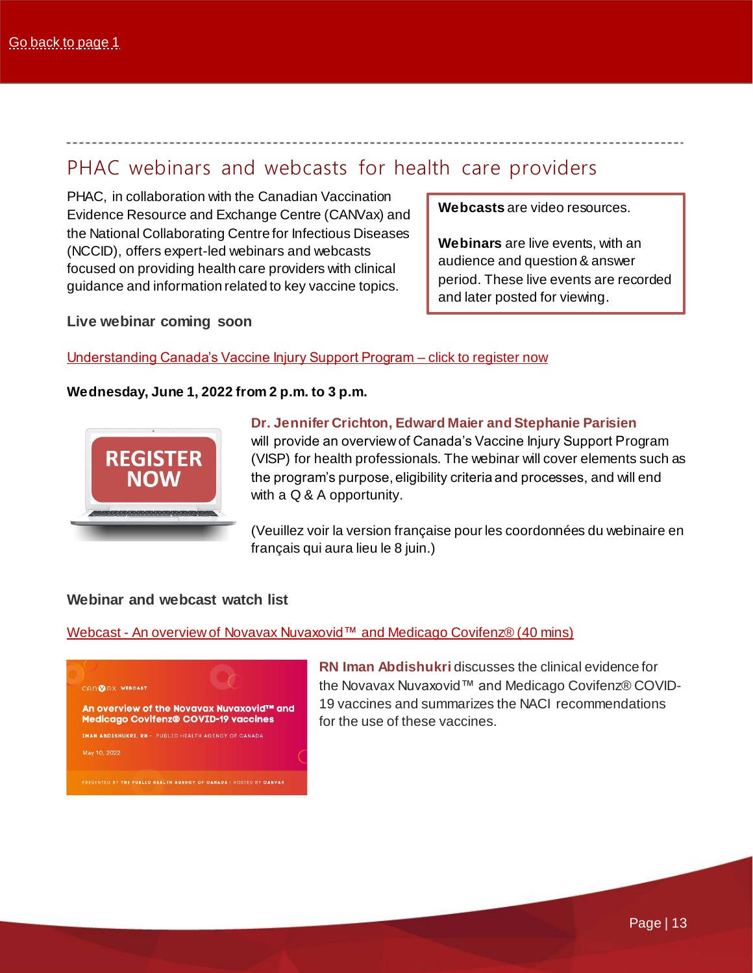### <span id="page-12-0"></span>PHAC webinars and webcasts for health care providers

PHAC, in collaboration with the Canadian Vaccination Evidence Resource and Exchange Centre (CANVax) and the National Collaborating Centre for Infectious Diseases (NCCID), offers expert-led webinars and webcasts focused on providing health care providers with clinical guidance and information related to key vaccine topics.

**Webcasts** are video resources.

**Webinars** are live events, with an audience and question & answer period. These live events are recorded and later posted for viewing.

**Live webinar coming soon**

### <span id="page-12-1"></span>[Understanding Canada's Vaccine Injury Support Program –](https://bit.ly/EN-Eventbrite-VISP_Registration) click to register now

### **Wednesday, June 1, 2022 from 2 p.m. to 3 p.m.**



### **Dr. Jennifer Crichton, Edward Maier and Stephanie Parisien**

will provide an overview of Canada's Vaccine Injury Support Program (VISP) for health professionals. The webinar will cover elements such as the program's purpose, eligibility criteria and processes, and will end with a Q & A opportunity.

(Veuillez voir la version française pour les coordonnées du webinaire en français qui aura lieu le 8 juin.)

### **Webinar and webcast watch list**

### Webcast - An overview of Novavax Nuvaxovid™ [and Medicago](https://bit.ly/EN-CANVax-Webcast-Novavax-Medicago) Covifenz® (40 mins)



**RN Iman Abdishukri** discusses the clinical evidence for the Novavax Nuvaxovid™ and Medicago Covifenz® COVID-19 vaccines and summarizes the NACI recommendations for the use of these vaccines.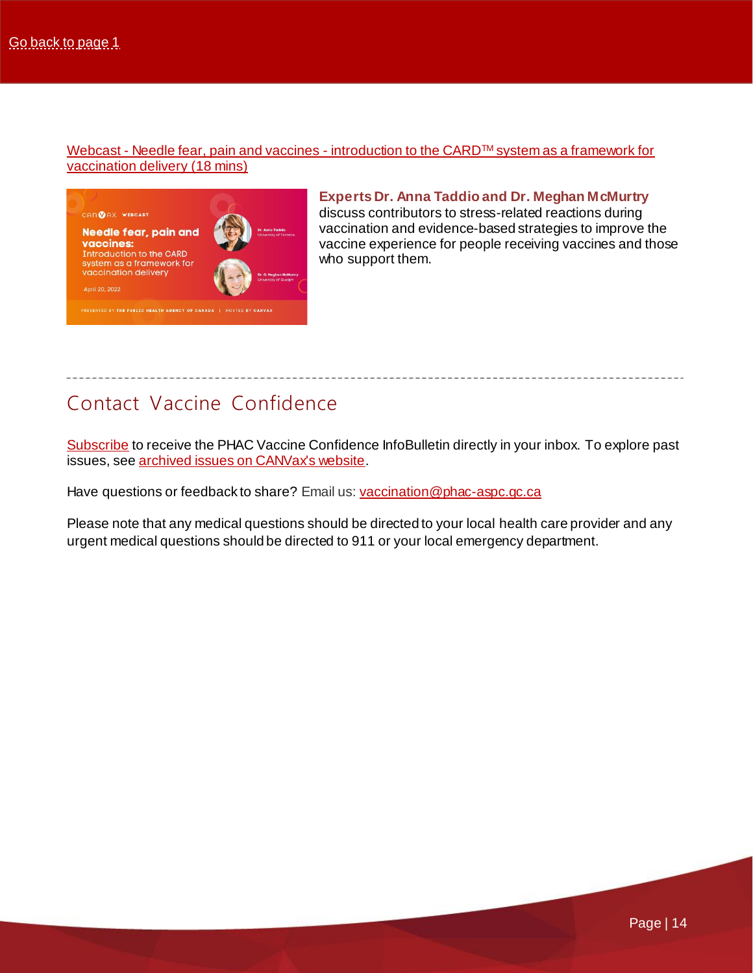Webcast - [Needle fear, pain and vaccines -](https://bit.ly/EN-CANVax-Webcast-CARD) introduction to the CARD™ system as a framework for [vaccination delivery](https://bit.ly/EN-CANVax-Webcast-CARD) (18 mins)



**Experts Dr. Anna Taddio and Dr. Meghan McMurtry**  discuss contributors to stress-related reactions during vaccination and evidence-based strategies to improve the vaccine experience for people receiving vaccines and those who support them.

# Contact Vaccine Confidence

[Subscribe](mailto:vaccination@phac-aspc.gc.ca?subject=Please%20add%20me%20to%20the%20PHAC%20Vaccine%20Confidence%20Program%20distribution%20list) to receive the PHAC Vaccine Confidence InfoBulletin directly in your inbox. To explore past issues, se[e archived issues on CANVax's website.](https://bit.ly/EN-CANVax-VCIB-archive_issues)

Have questions or feedback to share? Email us[: vaccination@phac-aspc.gc.ca](mailto:vaccination@phac-aspc.gc.ca)

Please note that any medical questions should be directed to your local health care provider and any urgent medical questions should be directed to 911 or your local emergency department.